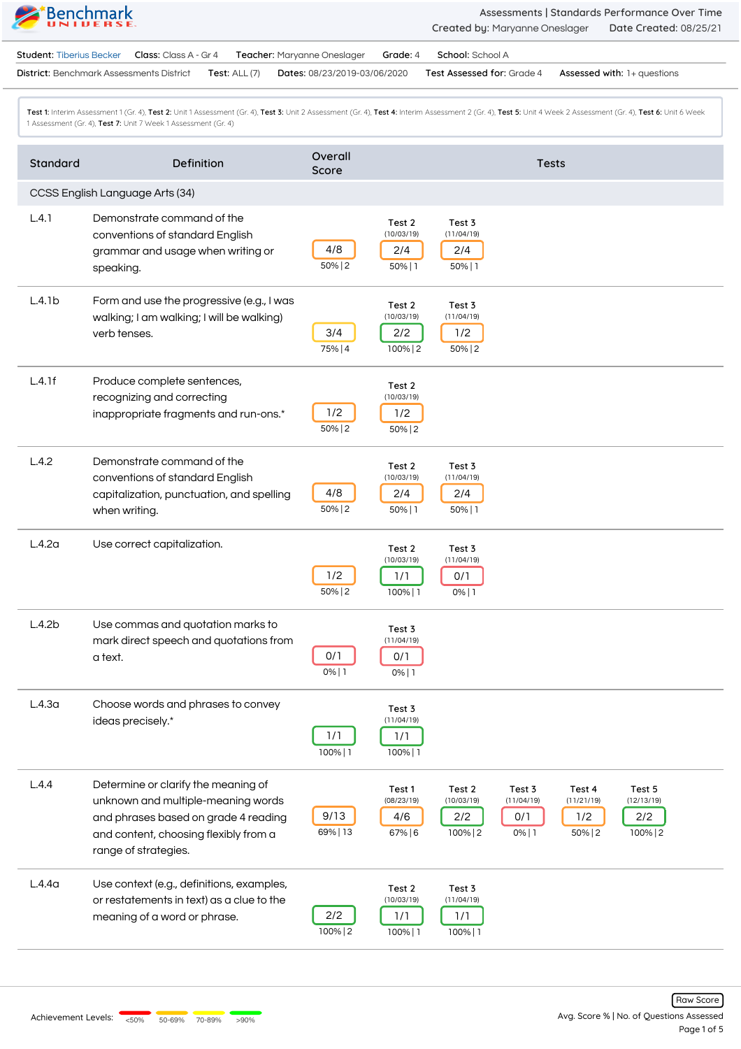| Benchmark<br>UNIVERSE                           |                              |                |                              |                                | Assessments   Standards Performance Over Time |  |                                      |  |
|-------------------------------------------------|------------------------------|----------------|------------------------------|--------------------------------|-----------------------------------------------|--|--------------------------------------|--|
|                                                 |                              |                |                              | Created by: Maryanne Oneslager |                                               |  | Date Created: 08/25/21               |  |
| <b>Student: Tiberius Becker</b>                 | <b>Class:</b> Class A - Gr 4 |                | Teacher: Maryanne Oneslager  | Grade: 4                       | <b>School:</b> School A                       |  |                                      |  |
| <b>District:</b> Benchmark Assessments District |                              | Test: $ALL(7)$ | Dates: 08/23/2019-03/06/2020 |                                | <b>Test Assessed for: Grade 4</b>             |  | <b>Assessed with:</b> $1+$ questions |  |

Test 1: Interim Assessment 1 (Gr. 4), Test 2: Unit 1 Assessment (Gr. 4), Test 3: Unit 2 Assessment (Gr. 4), Test 4: Interim Assessment 2 (Gr. 4), Test 5: Unit 4 Week 2 Assessment (Gr. 4), Test 6: Unit 6 Week 1 Assessment (Gr. 4), **Test 7:** Unit 7 Week 1 Assessment (Gr. 4)

| Standard                        | Definition                                                                                                                                                                         | Overall<br>Score   |                                            |                                                                                     | <b>Tests</b>                              |                                         |  |
|---------------------------------|------------------------------------------------------------------------------------------------------------------------------------------------------------------------------------|--------------------|--------------------------------------------|-------------------------------------------------------------------------------------|-------------------------------------------|-----------------------------------------|--|
| CCSS English Language Arts (34) |                                                                                                                                                                                    |                    |                                            |                                                                                     |                                           |                                         |  |
| L.4.1                           | Demonstrate command of the<br>conventions of standard English<br>grammar and usage when writing or<br>speaking.                                                                    | 4/8<br>$50\%$   2  | Test 2<br>(10/03/19)<br>2/4<br>$50\%$   1  | Test 3<br>(11/04/19)<br>2/4<br>50%   1                                              |                                           |                                         |  |
| L.4.1b                          | Form and use the progressive (e.g., I was<br>walking; I am walking; I will be walking)<br>verb tenses.                                                                             | 3/4<br>75%   4     | Test 2<br>(10/03/19)<br>2/2<br>100%   2    | Test 3<br>(11/04/19)<br>1/2<br>$50%$   2                                            |                                           |                                         |  |
| L.4.1f                          | Produce complete sentences,<br>recognizing and correcting<br>inappropriate fragments and run-ons.*                                                                                 | 1/2<br>$50\%$   2  | Test 2<br>(10/03/19)<br>1/2<br>$50\%$   2  |                                                                                     |                                           |                                         |  |
| L.4.2                           | Demonstrate command of the<br>conventions of standard English<br>capitalization, punctuation, and spelling<br>when writing.                                                        | 4/8<br>$50\%$   2  | Test 2<br>(10/03/19)<br>2/4<br>$50\%$   1  | Test 3<br>(11/04/19)<br>2/4<br>$50\%$   1                                           |                                           |                                         |  |
| L.4.2a                          | Use correct capitalization.                                                                                                                                                        | 1/2<br>$50\%$   2  | Test 2<br>(10/03/19)<br>1/1<br>100%   1    | Test 3<br>(11/04/19)<br>0/1<br>$0\%$   1                                            |                                           |                                         |  |
| L.4.2b                          | Use commas and quotation marks to<br>mark direct speech and quotations from<br>a text.                                                                                             | 0/1<br>$0\%$   1   | Test 3<br>(11/04/19)<br>0/1<br>$0\%$   1   |                                                                                     |                                           |                                         |  |
| L.4.3 <sub>a</sub>              | Choose words and phrases to convey<br>ideas precisely.*                                                                                                                            | 1/1<br>100%   1    | Test 3<br>(11/04/19)<br>1/1<br>100%   1    |                                                                                     |                                           |                                         |  |
| L.4.4                           | Determine or clarify the meaning of<br>unknown and multiple-meaning words<br>and phrases based on grade 4 reading<br>and content, choosing flexibly from a<br>range of strategies. | 9/13<br>69%   13   | Test 1<br>(08/23/19)<br>4/6<br>$67%$ 6     | Test 2<br>Test 3<br>(10/03/19)<br>(11/04/19)<br>2/2<br>0/1<br>100%   2<br>$0\%$   1 | Test 4<br>(11/21/19)<br>1/2<br>$50\%$   2 | Test 5<br>(12/13/19)<br>2/2<br>100%   2 |  |
| L.4.4 <sub>a</sub>              | Use context (e.g., definitions, examples,<br>or restatements in text) as a clue to the<br>meaning of a word or phrase.                                                             | 2/2<br>$100\%$   2 | Test 2<br>(10/03/19)<br>1/1<br>$100\%$   1 | Test 3<br>(11/04/19)<br>1/1<br>100%   1                                             |                                           |                                         |  |

L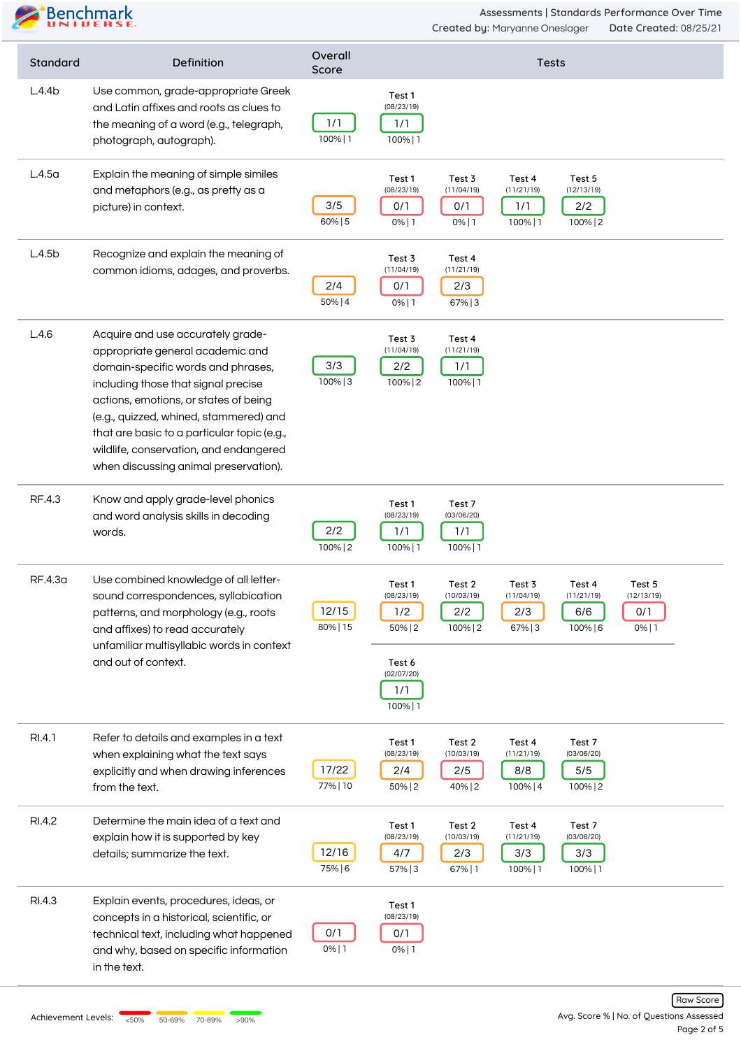

| Standard       | Definition                                                                                                                                                                                                                                                                                                                                                              | Overall<br>Score   | <b>Tests</b>                                                                                                                                                                                                                                                |
|----------------|-------------------------------------------------------------------------------------------------------------------------------------------------------------------------------------------------------------------------------------------------------------------------------------------------------------------------------------------------------------------------|--------------------|-------------------------------------------------------------------------------------------------------------------------------------------------------------------------------------------------------------------------------------------------------------|
| L.4.4b         | Use common, grade-appropriate Greek<br>and Latin affixes and roots as clues to<br>the meaning of a word (e.g., telegraph,<br>photograph, autograph).                                                                                                                                                                                                                    | 1/1<br>$100\%$   1 | Test 1<br>(08/23/19)<br>1/1<br>$100\%$   1                                                                                                                                                                                                                  |
| L.4.5a         | Explain the meaning of simple similes<br>and metaphors (e.g., as pretty as a<br>picture) in context.                                                                                                                                                                                                                                                                    | 3/5<br>60%   5     | Test 1<br>Test 3<br>Test 5<br>Test 4<br>(08/23/19)<br>(11/04/19)<br>(11/21/19)<br>(12/13/19)<br>0/1<br>0/1<br>1/1<br>2/2<br>$0\%$   1<br>$0\%$   1<br>100%   1<br>$100\%$   2                                                                               |
| L.4.5b         | Recognize and explain the meaning of<br>common idioms, adages, and proverbs.                                                                                                                                                                                                                                                                                            | 2/4<br>$50%$   4   | Test 4<br>Test 3<br>(11/04/19)<br>(11/21/19)<br>0/1<br>2/3<br>$0\%$   1<br>$67%$ 3                                                                                                                                                                          |
| L.4.6          | Acquire and use accurately grade-<br>appropriate general academic and<br>domain-specific words and phrases,<br>including those that signal precise<br>actions, emotions, or states of being<br>(e.g., quizzed, whined, stammered) and<br>that are basic to a particular topic (e.g.,<br>wildlife, conservation, and endangered<br>when discussing animal preservation). | 3/3<br>100%   3    | Test 3<br>Test 4<br>(11/04/19)<br>(11/21/19)<br>2/2<br>1/1<br>$100\%$   2<br>$100\%$   1                                                                                                                                                                    |
| RF.4.3         | Know and apply grade-level phonics<br>and word analysis skills in decoding<br>words.                                                                                                                                                                                                                                                                                    | 2/2<br>100%   2    | Test 1<br>Test 7<br>(08/23/19)<br>(03/06/20)<br>1/1<br>1/1<br>$100%$   1<br>$100\%$   1                                                                                                                                                                     |
| <b>RF.4.3a</b> | Use combined knowledge of all letter-<br>sound correspondences, syllabication<br>patterns, and morphology (e.g., roots<br>and affixes) to read accurately<br>unfamiliar multisyllabic words in context<br>and out of context.                                                                                                                                           | 12/15<br>80%   15  | Test 1<br>Test 2<br>Test 3<br>Test 4<br>Test 5<br>(08/23/19)<br>(10/03/19)<br>(11/04/19)<br>(11/21/19)<br>(12/13/19)<br>1/2<br>2/2<br>2/3<br>6/6<br>0/1<br>100%   6<br>$50\%$   2<br>100%   2<br>$67%$ 3<br>0% 1<br>Test 6<br>(02/07/20)<br>1/1<br>100%   1 |
| RI.4.1         | Refer to details and examples in a text<br>when explaining what the text says<br>explicitly and when drawing inferences<br>from the text.                                                                                                                                                                                                                               | 17/22<br>77%   10  | Test 1<br>Test 2<br>Test 7<br>Test 4<br>(08/23/19)<br>(10/03/19)<br>(11/21/19)<br>(03/06/20)<br>5/5<br>2/4<br>2/5<br>8/8<br>50%   2<br>40%   2<br>$100%$   4<br>$100\%$   2                                                                                 |
| RI.4.2         | Determine the main idea of a text and<br>explain how it is supported by key<br>details; summarize the text.                                                                                                                                                                                                                                                             | 12/16<br>75%   6   | Test 1<br>Test 2<br>Test 4<br>Test 7<br>(10/03/19)<br>(08/23/19)<br>(11/21/19)<br>(03/06/20)<br>4/7<br>2/3<br>3/3<br>3/3<br>$57\%$ 3<br>$67%$   1<br>100%   1<br>$100\%$   1                                                                                |
| RI.4.3         | Explain events, procedures, ideas, or<br>concepts in a historical, scientific, or<br>technical text, including what happened<br>and why, based on specific information<br>in the text.                                                                                                                                                                                  | 0/1<br>$0\%$   1   | Test 1<br>(08/23/19)<br>0/1<br>$0\%$   1                                                                                                                                                                                                                    |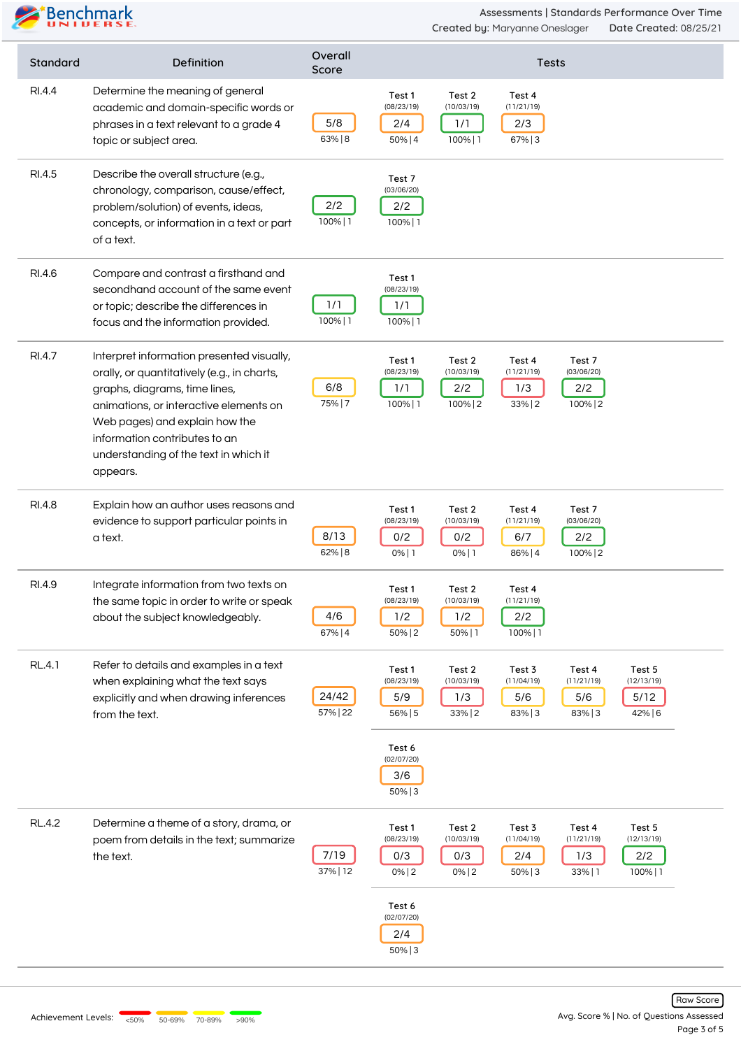

| Standard      | Definition                                                                                                                                                                                                                                                                                  | Overall<br>Score   |                                           |                                            | <b>Tests</b>                              |                                          |                                         |  |
|---------------|---------------------------------------------------------------------------------------------------------------------------------------------------------------------------------------------------------------------------------------------------------------------------------------------|--------------------|-------------------------------------------|--------------------------------------------|-------------------------------------------|------------------------------------------|-----------------------------------------|--|
| RI.4.4        | Determine the meaning of general<br>academic and domain-specific words or<br>phrases in a text relevant to a grade 4<br>topic or subject area.                                                                                                                                              | 5/8<br>63%   8     | Test 1<br>(08/23/19)<br>2/4<br>$50\%$   4 | Test 2<br>(10/03/19)<br>1/1<br>$100%$   1  | Test 4<br>(11/21/19)<br>2/3<br>$67%$ 3    |                                          |                                         |  |
| RI.4.5        | Describe the overall structure (e.g.,<br>chronology, comparison, cause/effect,<br>problem/solution) of events, ideas,<br>concepts, or information in a text or part<br>of a text.                                                                                                           | 2/2<br>$100\%$   1 | Test 7<br>(03/06/20)<br>2/2<br>100%   1   |                                            |                                           |                                          |                                         |  |
| RI.4.6        | Compare and contrast a firsthand and<br>secondhand account of the same event<br>or topic; describe the differences in<br>focus and the information provided.                                                                                                                                | 1/1<br>100%   1    | Test 1<br>(08/23/19)<br>1/1<br>100%   1   |                                            |                                           |                                          |                                         |  |
| RI.4.7        | Interpret information presented visually,<br>orally, or quantitatively (e.g., in charts,<br>graphs, diagrams, time lines,<br>animations, or interactive elements on<br>Web pages) and explain how the<br>information contributes to an<br>understanding of the text in which it<br>appears. | 6/8<br>75%   7     | Test 1<br>(08/23/19)<br>1/1<br>100%   1   | Test 2<br>(10/03/19)<br>2/2<br>$100\%$   2 | Test 4<br>(11/21/19)<br>1/3<br>$33\%$   2 | Test 7<br>(03/06/20)<br>2/2<br>100%   2  |                                         |  |
| RI.4.8        | Explain how an author uses reasons and<br>evidence to support particular points in<br>a text.                                                                                                                                                                                               | 8/13<br>$62\%$   8 | Test 1<br>(08/23/19)<br>0/2<br>$0\%$   1  | Test 2<br>(10/03/19)<br>0/2<br>$0\%$   1   | Test 4<br>(11/21/19)<br>6/7<br>86%   4    | Test 7<br>(03/06/20)<br>2/2<br>100%   2  |                                         |  |
| RI.4.9        | Integrate information from two texts on<br>the same topic in order to write or speak<br>about the subject knowledgeably.                                                                                                                                                                    | 4/6<br>67%   4     | Test 1<br>(08/23/19)<br>1/2<br>50%   2    | Test 2<br>(10/03/19)<br>1/2<br>50%   1     | Test 4<br>(11/21/19)<br>2/2<br>100%   1   |                                          |                                         |  |
| <b>RL.4.1</b> | Refer to details and examples in a text<br>when explaining what the text says<br>explicitly and when drawing inferences<br>from the text.                                                                                                                                                   | 24/42<br>57% 22    | Test 1<br>(08/23/19)<br>5/9<br>56%   5    | Test 2<br>(10/03/19)<br>1/3<br>$33\%$   2  | Test 3<br>(11/04/19)<br>5/6<br>83% 3      | Test 4<br>(11/21/19)<br>5/6<br>$83%$   3 | Test 5<br>(12/13/19)<br>5/12<br>$42%$ 6 |  |
|               |                                                                                                                                                                                                                                                                                             |                    | Test 6<br>(02/07/20)<br>3/6<br>$50\%$ 3   |                                            |                                           |                                          |                                         |  |
| <b>RL.4.2</b> | Determine a theme of a story, drama, or<br>poem from details in the text; summarize<br>the text.                                                                                                                                                                                            | 7/19<br>37%   12   | Test 1<br>(08/23/19)<br>0/3<br>$0\%$   2  | Test 2<br>(10/03/19)<br>0/3<br>$0\%$   2   | Test 3<br>(11/04/19)<br>2/4<br>$50\%$ 3   | Test 4<br>(11/21/19)<br>1/3<br>33%   1   | Test 5<br>(12/13/19)<br>2/2<br>100%   1 |  |
|               |                                                                                                                                                                                                                                                                                             |                    | Test 6<br>(02/07/20)<br>2/4<br>$50\%$ 3   |                                            |                                           |                                          |                                         |  |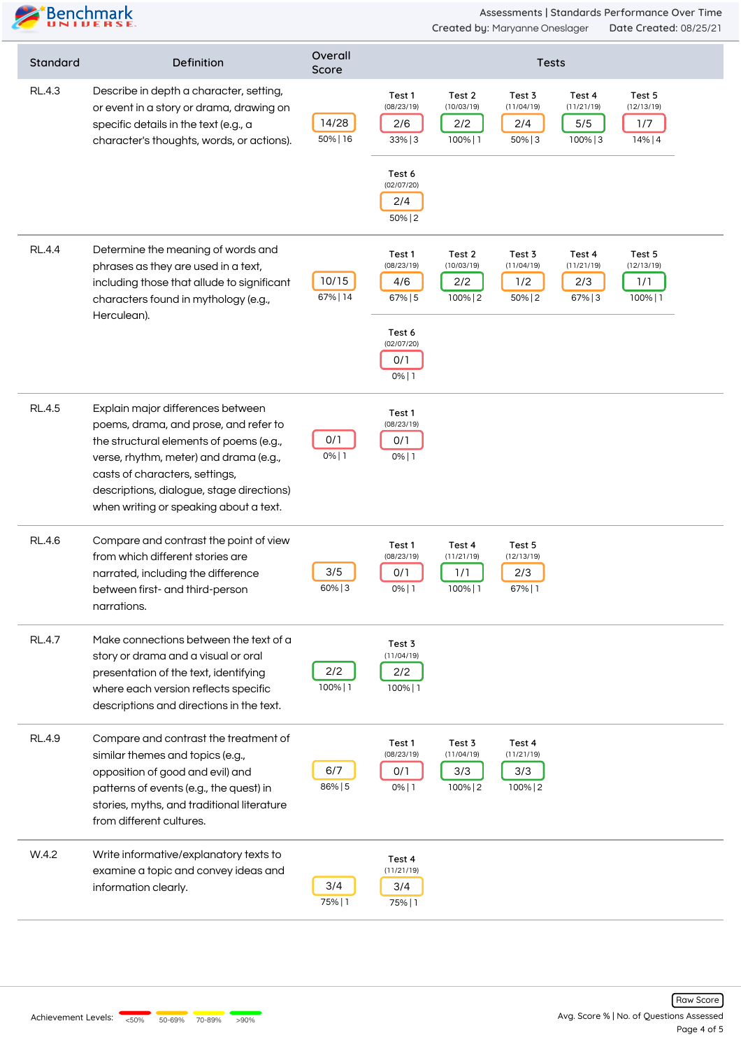

| Standard      | Definition                                                                                                                                                                                                                                                                               | Overall<br>Score   | <b>Tests</b>                                                                                                                                                                                                             |
|---------------|------------------------------------------------------------------------------------------------------------------------------------------------------------------------------------------------------------------------------------------------------------------------------------------|--------------------|--------------------------------------------------------------------------------------------------------------------------------------------------------------------------------------------------------------------------|
| <b>RL.4.3</b> | Describe in depth a character, setting,<br>or event in a story or drama, drawing on<br>specific details in the text (e.g., a<br>character's thoughts, words, or actions).                                                                                                                | 14/28<br>50%   16  | Test 1<br>Test 3<br>Test 5<br>Test 2<br>Test 4<br>(08/23/19)<br>(10/03/19)<br>(11/04/19)<br>(11/21/19)<br>(12/13/19)<br>2/2<br>2/4<br>5/5<br>1/7<br>2/6<br>14%   4<br>$33\%$ 3<br>$50\%$ 3<br>100%   3<br>100%   1       |
|               |                                                                                                                                                                                                                                                                                          |                    | Test 6<br>(02/07/20)<br>2/4<br>$50\%$   2                                                                                                                                                                                |
| <b>RL.4.4</b> | Determine the meaning of words and<br>phrases as they are used in a text,<br>including those that allude to significant<br>characters found in mythology (e.g.,<br>Herculean).                                                                                                           | 10/15<br>67%   14  | Test 1<br>Test 2<br>Test 3<br>Test 4<br>Test 5<br>(08/23/19)<br>(10/03/19)<br>(12/13/19)<br>(11/04/19)<br>(11/21/19)<br>4/6<br>2/2<br>1/2<br>2/3<br>1/1<br>$67%$ 5<br>$100\%$   2<br>$50\%$   2<br>$67%$ 3<br>$100%$   1 |
|               |                                                                                                                                                                                                                                                                                          |                    | Test 6<br>(02/07/20)<br>0/1<br>$0\%$   1                                                                                                                                                                                 |
| <b>RL.4.5</b> | Explain major differences between<br>poems, drama, and prose, and refer to<br>the structural elements of poems (e.g.,<br>verse, rhythm, meter) and drama (e.g.,<br>casts of characters, settings,<br>descriptions, dialogue, stage directions)<br>when writing or speaking about a text. | 0/1<br>$0\%$   1   | Test 1<br>(08/23/19)<br>0/1<br>0% 1                                                                                                                                                                                      |
| <b>RL.4.6</b> | Compare and contrast the point of view<br>from which different stories are<br>narrated, including the difference<br>between first- and third-person<br>narrations.                                                                                                                       | 3/5<br>$60\%$ 3    | Test 1<br>Test 4<br>Test 5<br>(08/23/19)<br>(11/21/19)<br>(12/13/19)<br>0/1<br>2/3<br>1/1<br>$0\%$   1<br>100%   1<br>$67%$   1                                                                                          |
| <b>RL.4.7</b> | Make connections between the text of a<br>story or drama and a visual or oral<br>presentation of the text, identifying<br>where each version reflects specific<br>descriptions and directions in the text.                                                                               | 2/2<br>$100\%$   1 | Test 3<br>(11/04/19)<br>2/2<br>$100\%$   1                                                                                                                                                                               |
| <b>RL.4.9</b> | Compare and contrast the treatment of<br>similar themes and topics (e.g.,<br>opposition of good and evil) and<br>patterns of events (e.g., the quest) in<br>stories, myths, and traditional literature<br>from different cultures.                                                       | 6/7<br>86%   5     | Test 1<br>Test 3<br>Test 4<br>(08/23/19)<br>(11/04/19)<br>(11/21/19)<br>3/3<br>3/3<br>0/1<br>$0\%$   1<br>100%   2<br>100%   2                                                                                           |
| W.4.2         | Write informative/explanatory texts to<br>examine a topic and convey ideas and<br>information clearly.                                                                                                                                                                                   | 3/4<br>75%   1     | Test 4<br>(11/21/19)<br>3/4<br>75%   1                                                                                                                                                                                   |